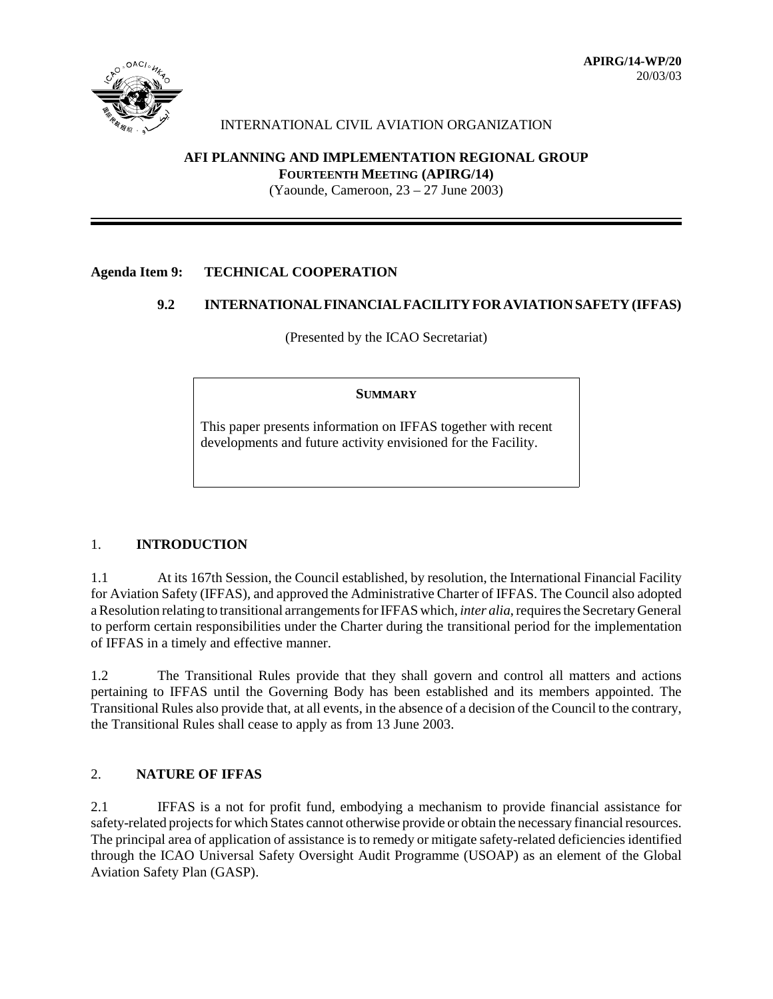

# INTERNATIONAL CIVIL AVIATION ORGANIZATION

# **AFI PLANNING AND IMPLEMENTATION REGIONAL GROUP**

**FOURTEENTH MEETING (APIRG/14)**

(Yaounde, Cameroon, 23 – 27 June 2003)

## **Agenda Item 9: TECHNICAL COOPERATION**

## **9.2 INTERNATIONAL FINANCIAL FACILITY FOR AVIATION SAFETY (IFFAS)**

(Presented by the ICAO Secretariat)

#### **SUMMARY**

This paper presents information on IFFAS together with recent developments and future activity envisioned for the Facility.

#### 1. **INTRODUCTION**

1.1 At its 167th Session, the Council established, by resolution, the International Financial Facility for Aviation Safety (IFFAS), and approved the Administrative Charter of IFFAS. The Council also adopted a Resolution relating to transitional arrangements for IFFAS which, *inter alia*, requires the Secretary General to perform certain responsibilities under the Charter during the transitional period for the implementation of IFFAS in a timely and effective manner.

1.2 The Transitional Rules provide that they shall govern and control all matters and actions pertaining to IFFAS until the Governing Body has been established and its members appointed. The Transitional Rules also provide that, at all events, in the absence of a decision of the Council to the contrary, the Transitional Rules shall cease to apply as from 13 June 2003.

# 2. **NATURE OF IFFAS**

2.1 IFFAS is a not for profit fund, embodying a mechanism to provide financial assistance for safety-related projects for which States cannot otherwise provide or obtain the necessary financial resources. The principal area of application of assistance is to remedy or mitigate safety-related deficiencies identified through the ICAO Universal Safety Oversight Audit Programme (USOAP) as an element of the Global Aviation Safety Plan (GASP).